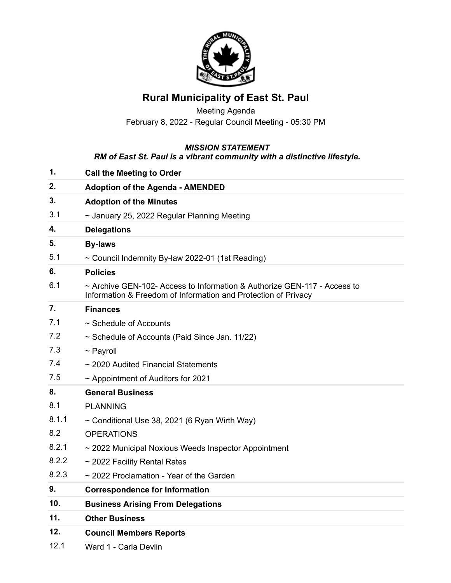

## **Rural Municipality of East St. Paul**

Meeting Agenda February 8, 2022 - Regular Council Meeting - 05:30 PM

## *MISSION STATEMENT*

## *RM of East St. Paul is a vibrant community with a distinctive lifestyle.*

| 1.    | <b>Call the Meeting to Order</b>                                                                                                           |
|-------|--------------------------------------------------------------------------------------------------------------------------------------------|
| 2.    | <b>Adoption of the Agenda - AMENDED</b>                                                                                                    |
| 3.    | <b>Adoption of the Minutes</b>                                                                                                             |
| 3.1   | ~ January 25, 2022 Regular Planning Meeting                                                                                                |
| 4.    | <b>Delegations</b>                                                                                                                         |
| 5.    | <b>By-laws</b>                                                                                                                             |
| 5.1   | ~ Council Indemnity By-law 2022-01 (1st Reading)                                                                                           |
| 6.    | <b>Policies</b>                                                                                                                            |
| 6.1   | ~ Archive GEN-102- Access to Information & Authorize GEN-117 - Access to<br>Information & Freedom of Information and Protection of Privacy |
| 7.    | <b>Finances</b>                                                                                                                            |
| 7.1   | ~ Schedule of Accounts                                                                                                                     |
| 7.2   | $\sim$ Schedule of Accounts (Paid Since Jan. 11/22)                                                                                        |
| 7.3   | $\sim$ Payroll                                                                                                                             |
| 7.4   | ~ 2020 Audited Financial Statements                                                                                                        |
| 7.5   | $\sim$ Appointment of Auditors for 2021                                                                                                    |
| 8.    | <b>General Business</b>                                                                                                                    |
| 8.1   | <b>PLANNING</b>                                                                                                                            |
| 8.1.1 | $\sim$ Conditional Use 38, 2021 (6 Ryan Wirth Way)                                                                                         |
| 8.2   | <b>OPERATIONS</b>                                                                                                                          |
| 8.2.1 | ~ 2022 Municipal Noxious Weeds Inspector Appointment                                                                                       |
| 8.2.2 | ~ 2022 Facility Rental Rates                                                                                                               |
| 8.2.3 | $\sim$ 2022 Proclamation - Year of the Garden                                                                                              |
| 9.    | <b>Correspondence for Information</b>                                                                                                      |
| 10.   | <b>Business Arising From Delegations</b>                                                                                                   |
| 11.   | <b>Other Business</b>                                                                                                                      |
| 12.   | <b>Council Members Reports</b>                                                                                                             |
| 101   | $M = 14$ $\Delta = 14$                                                                                                                     |

12.1 Ward 1 - Carla Devlin